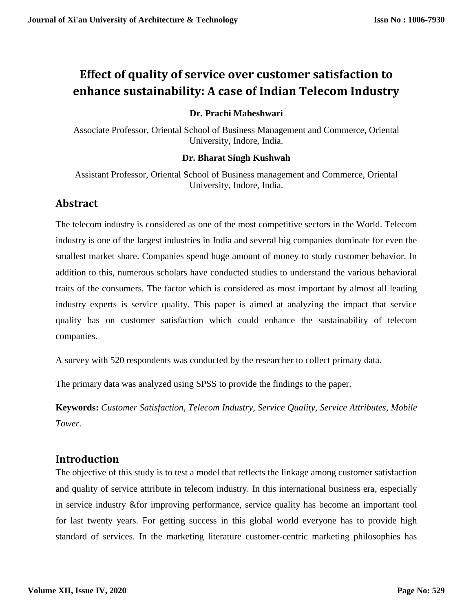# **Effect of quality of service over customer satisfaction to enhance sustainability: A case of Indian Telecom Industry**

#### **Dr. Prachi Maheshwari**

Associate Professor, Oriental School of Business Management and Commerce, Oriental University, Indore, India.

#### **Dr. Bharat Singh Kushwah**

Assistant Professor, Oriental School of Business management and Commerce, Oriental University, Indore, India.

## **Abstract**

The telecom industry is considered as one of the most competitive sectors in the World. Telecom industry is one of the largest industries in India and several big companies dominate for even the smallest market share. Companies spend huge amount of money to study customer behavior. In addition to this, numerous scholars have conducted studies to understand the various behavioral traits of the consumers. The factor which is considered as most important by almost all leading industry experts is service quality. This paper is aimed at analyzing the impact that service quality has on customer satisfaction which could enhance the sustainability of telecom companies.

A survey with 520 respondents was conducted by the researcher to collect primary data.

The primary data was analyzed using SPSS to provide the findings to the paper.

**Keywords:** *Customer Satisfaction, Telecom Industry, Service Quality, Service Attributes, Mobile Tower.*

## **Introduction**

The objective of this study is to test a model that reflects the linkage among customer satisfaction and quality of service attribute in telecom industry. In this international business era, especially in service industry &for improving performance, service quality has become an important tool for last twenty years. For getting success in this global world everyone has to provide high standard of services. In the marketing literature customer-centric marketing philosophies has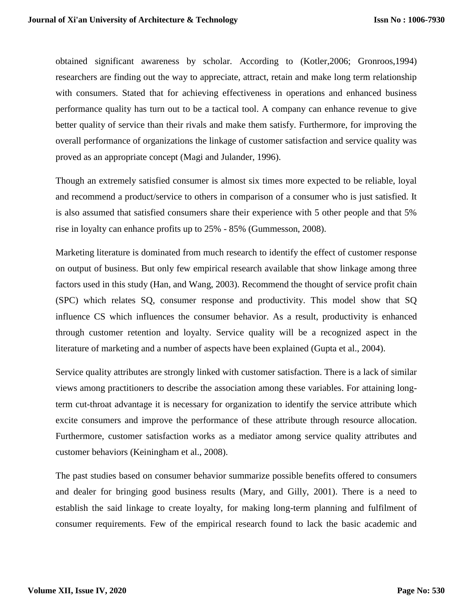obtained significant awareness by scholar. According to (Kotler,2006; Gronroos,1994) researchers are finding out the way to appreciate, attract, retain and make long term relationship with consumers. Stated that for achieving effectiveness in operations and enhanced business performance quality has turn out to be a tactical tool. A company can enhance revenue to give better quality of service than their rivals and make them satisfy. Furthermore, for improving the overall performance of organizations the linkage of customer satisfaction and service quality was proved as an appropriate concept (Magi and Julander, 1996).

Though an extremely satisfied consumer is almost six times more expected to be reliable, loyal and recommend a product/service to others in comparison of a consumer who is just satisfied. It is also assumed that satisfied consumers share their experience with 5 other people and that 5% rise in loyalty can enhance profits up to 25% - 85% (Gummesson, 2008).

Marketing literature is dominated from much research to identify the effect of customer response on output of business. But only few empirical research available that show linkage among three factors used in this study (Han, and Wang, 2003). Recommend the thought of service profit chain (SPC) which relates SQ, consumer response and productivity. This model show that SQ influence CS which influences the consumer behavior. As a result, productivity is enhanced through customer retention and loyalty. Service quality will be a recognized aspect in the literature of marketing and a number of aspects have been explained (Gupta et al., 2004).

Service quality attributes are strongly linked with customer satisfaction. There is a lack of similar views among practitioners to describe the association among these variables. For attaining longterm cut-throat advantage it is necessary for organization to identify the service attribute which excite consumers and improve the performance of these attribute through resource allocation. Furthermore, customer satisfaction works as a mediator among service quality attributes and customer behaviors (Keiningham et al., 2008).

The past studies based on consumer behavior summarize possible benefits offered to consumers and dealer for bringing good business results (Mary, and Gilly, 2001). There is a need to establish the said linkage to create loyalty, for making long-term planning and fulfilment of consumer requirements. Few of the empirical research found to lack the basic academic and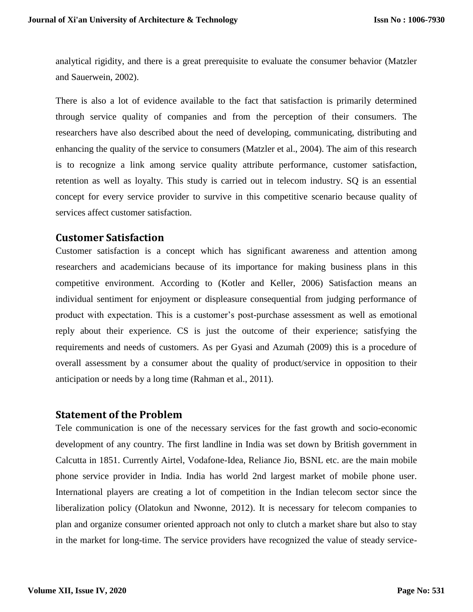analytical rigidity, and there is a great prerequisite to evaluate the consumer behavior (Matzler and Sauerwein, 2002).

There is also a lot of evidence available to the fact that satisfaction is primarily determined through service quality of companies and from the perception of their consumers. The researchers have also described about the need of developing, communicating, distributing and enhancing the quality of the service to consumers (Matzler et al., 2004). The aim of this research is to recognize a link among service quality attribute performance, customer satisfaction, retention as well as loyalty. This study is carried out in telecom industry. SQ is an essential concept for every service provider to survive in this competitive scenario because quality of services affect customer satisfaction.

## **Customer Satisfaction**

Customer satisfaction is a concept which has significant awareness and attention among researchers and academicians because of its importance for making business plans in this competitive environment. According to (Kotler and Keller, 2006) Satisfaction means an individual sentiment for enjoyment or displeasure consequential from judging performance of product with expectation. This is a customer's post-purchase assessment as well as emotional reply about their experience. CS is just the outcome of their experience; satisfying the requirements and needs of customers. As per Gyasi and Azumah (2009) this is a procedure of overall assessment by a consumer about the quality of product/service in opposition to their anticipation or needs by a long time (Rahman et al., 2011).

## **Statement of the Problem**

Tele communication is one of the necessary services for the fast growth and socio-economic development of any country. The first landline in India was set down by British government in Calcutta in 1851. Currently Airtel, Vodafone-Idea, Reliance Jio, BSNL etc. are the main mobile phone service provider in India. India has world 2nd largest market of mobile phone user. International players are creating a lot of competition in the Indian telecom sector since the liberalization policy (Olatokun and Nwonne, 2012). It is necessary for telecom companies to plan and organize consumer oriented approach not only to clutch a market share but also to stay in the market for long-time. The service providers have recognized the value of steady service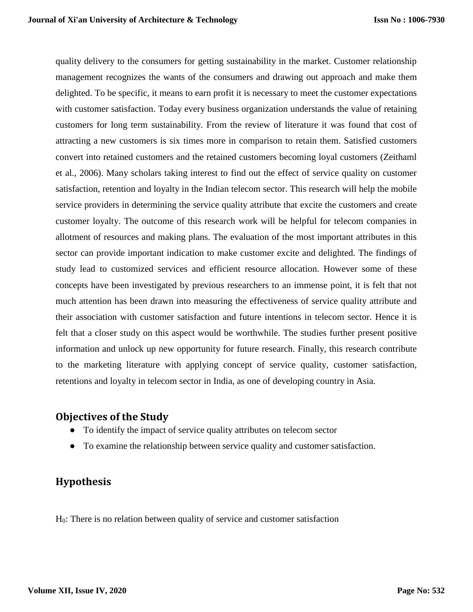quality delivery to the consumers for getting sustainability in the market. Customer relationship management recognizes the wants of the consumers and drawing out approach and make them delighted. To be specific, it means to earn profit it is necessary to meet the customer expectations with customer satisfaction. Today every business organization understands the value of retaining customers for long term sustainability. From the review of literature it was found that cost of attracting a new customers is six times more in comparison to retain them. Satisfied customers convert into retained customers and the retained customers becoming loyal customers (Zeithaml et al., 2006). Many scholars taking interest to find out the effect of service quality on customer satisfaction, retention and loyalty in the Indian telecom sector. This research will help the mobile service providers in determining the service quality attribute that excite the customers and create customer loyalty. The outcome of this research work will be helpful for telecom companies in allotment of resources and making plans. The evaluation of the most important attributes in this sector can provide important indication to make customer excite and delighted. The findings of study lead to customized services and efficient resource allocation. However some of these concepts have been investigated by previous researchers to an immense point, it is felt that not much attention has been drawn into measuring the effectiveness of service quality attribute and their association with customer satisfaction and future intentions in telecom sector. Hence it is felt that a closer study on this aspect would be worthwhile. The studies further present positive information and unlock up new opportunity for future research. Finally, this research contribute to the marketing literature with applying concept of service quality, customer satisfaction, retentions and loyalty in telecom sector in India, as one of developing country in Asia.

## **Objectives of the Study**

- To identify the impact of service quality attributes on telecom sector
- To examine the relationship between service quality and customer satisfaction.

## **Hypothesis**

H0: There is no relation between quality of service and customer satisfaction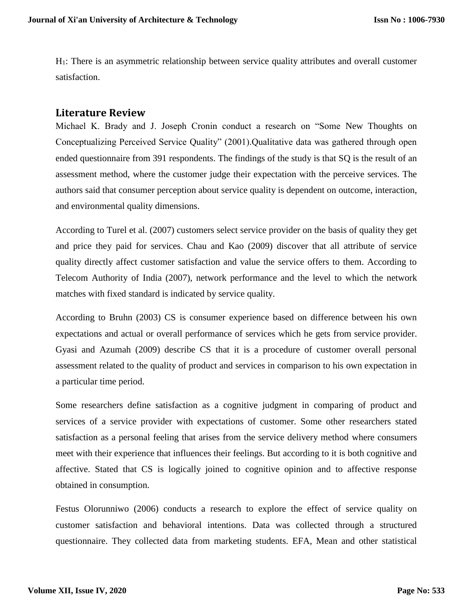H1: There is an asymmetric relationship between service quality attributes and overall customer satisfaction.

#### **Literature Review**

Michael K. Brady and J. Joseph Cronin conduct a research on "Some New Thoughts on Conceptualizing Perceived Service Quality" (2001).Qualitative data was gathered through open ended questionnaire from 391 respondents. The findings of the study is that SQ is the result of an assessment method, where the customer judge their expectation with the perceive services. The authors said that consumer perception about service quality is dependent on outcome, interaction, and environmental quality dimensions.

According to Turel et al. (2007) customers select service provider on the basis of quality they get and price they paid for services. Chau and Kao (2009) discover that all attribute of service quality directly affect customer satisfaction and value the service offers to them. According to Telecom Authority of India (2007), network performance and the level to which the network matches with fixed standard is indicated by service quality.

According to Bruhn (2003) CS is consumer experience based on difference between his own expectations and actual or overall performance of services which he gets from service provider. Gyasi and Azumah (2009) describe CS that it is a procedure of customer overall personal assessment related to the quality of product and services in comparison to his own expectation in a particular time period.

Some researchers define satisfaction as a cognitive judgment in comparing of product and services of a service provider with expectations of customer. Some other researchers stated satisfaction as a personal feeling that arises from the service delivery method where consumers meet with their experience that influences their feelings. But according to it is both cognitive and affective. Stated that CS is logically joined to cognitive opinion and to affective response obtained in consumption.

Festus Olorunniwo (2006) conducts a research to explore the effect of service quality on customer satisfaction and behavioral intentions. Data was collected through a structured questionnaire. They collected data from marketing students. EFA, Mean and other statistical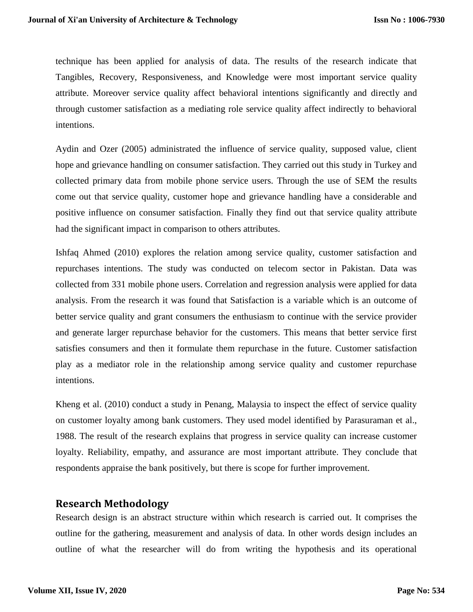technique has been applied for analysis of data. The results of the research indicate that Tangibles, Recovery, Responsiveness, and Knowledge were most important service quality attribute. Moreover service quality affect behavioral intentions significantly and directly and through customer satisfaction as a mediating role service quality affect indirectly to behavioral intentions.

Aydin and Ozer (2005) administrated the influence of service quality, supposed value, client hope and grievance handling on consumer satisfaction. They carried out this study in Turkey and collected primary data from mobile phone service users. Through the use of SEM the results come out that service quality, customer hope and grievance handling have a considerable and positive influence on consumer satisfaction. Finally they find out that service quality attribute had the significant impact in comparison to others attributes.

Ishfaq Ahmed (2010) explores the relation among service quality, customer satisfaction and repurchases intentions. The study was conducted on telecom sector in Pakistan. Data was collected from 331 mobile phone users. Correlation and regression analysis were applied for data analysis. From the research it was found that Satisfaction is a variable which is an outcome of better service quality and grant consumers the enthusiasm to continue with the service provider and generate larger repurchase behavior for the customers. This means that better service first satisfies consumers and then it formulate them repurchase in the future. Customer satisfaction play as a mediator role in the relationship among service quality and customer repurchase intentions.

Kheng et al. (2010) conduct a study in Penang, Malaysia to inspect the effect of service quality on customer loyalty among bank customers. They used model identified by Parasuraman et al., 1988. The result of the research explains that progress in service quality can increase customer loyalty. Reliability, empathy, and assurance are most important attribute. They conclude that respondents appraise the bank positively, but there is scope for further improvement.

## **Research Methodology**

Research design is an abstract structure within which research is carried out. It comprises the outline for the gathering, measurement and analysis of data. In other words design includes an outline of what the researcher will do from writing the hypothesis and its operational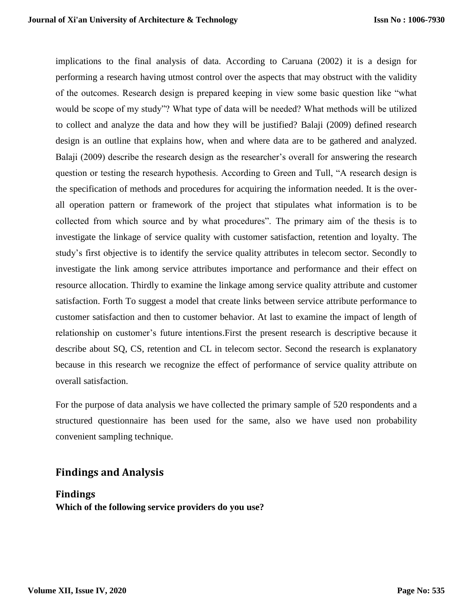implications to the final analysis of data. According to Caruana (2002) it is a design for performing a research having utmost control over the aspects that may obstruct with the validity of the outcomes. Research design is prepared keeping in view some basic question like "what would be scope of my study"? What type of data will be needed? What methods will be utilized to collect and analyze the data and how they will be justified? Balaji (2009) defined research design is an outline that explains how, when and where data are to be gathered and analyzed. Balaji (2009) describe the research design as the researcher's overall for answering the research question or testing the research hypothesis. According to Green and Tull, "A research design is the specification of methods and procedures for acquiring the information needed. It is the overall operation pattern or framework of the project that stipulates what information is to be collected from which source and by what procedures". The primary aim of the thesis is to investigate the linkage of service quality with customer satisfaction, retention and loyalty. The study's first objective is to identify the service quality attributes in telecom sector. Secondly to investigate the link among service attributes importance and performance and their effect on resource allocation. Thirdly to examine the linkage among service quality attribute and customer satisfaction. Forth To suggest a model that create links between service attribute performance to customer satisfaction and then to customer behavior. At last to examine the impact of length of relationship on customer's future intentions.First the present research is descriptive because it describe about SQ, CS, retention and CL in telecom sector. Second the research is explanatory because in this research we recognize the effect of performance of service quality attribute on overall satisfaction.

For the purpose of data analysis we have collected the primary sample of 520 respondents and a structured questionnaire has been used for the same, also we have used non probability convenient sampling technique.

## **Findings and Analysis**

**Findings Which of the following service providers do you use?**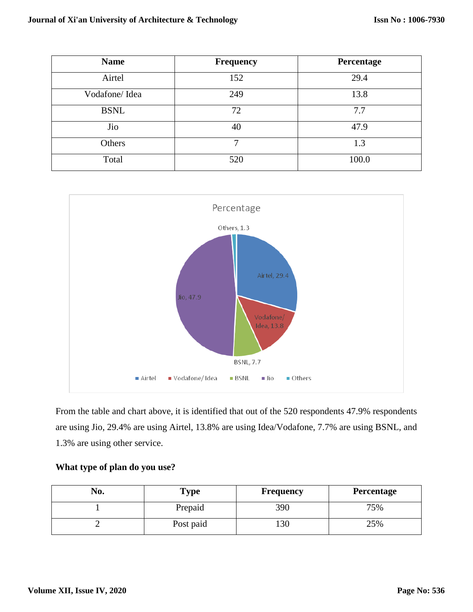| <b>Name</b>   | <b>Frequency</b> | Percentage |
|---------------|------------------|------------|
| Airtel        | 152              | 29.4       |
| Vodafone/Idea | 249              | 13.8       |
| <b>BSNL</b>   | 72               | 7.7        |
| Jio           | 40               | 47.9       |
| Others        | 7                | 1.3        |
| Total         | 520              | 100.0      |



From the table and chart above, it is identified that out of the 520 respondents 47.9% respondents are using Jio, 29.4% are using Airtel, 13.8% are using Idea/Vodafone, 7.7% are using BSNL, and 1.3% are using other service.

| What type of plan do you use? |  |  |  |  |  |  |
|-------------------------------|--|--|--|--|--|--|
|-------------------------------|--|--|--|--|--|--|

| No. | Type      | Frequency | <b>Percentage</b> |
|-----|-----------|-----------|-------------------|
|     | Prepaid   | 390       | 75%               |
| -   | Post paid | 130       | 25%               |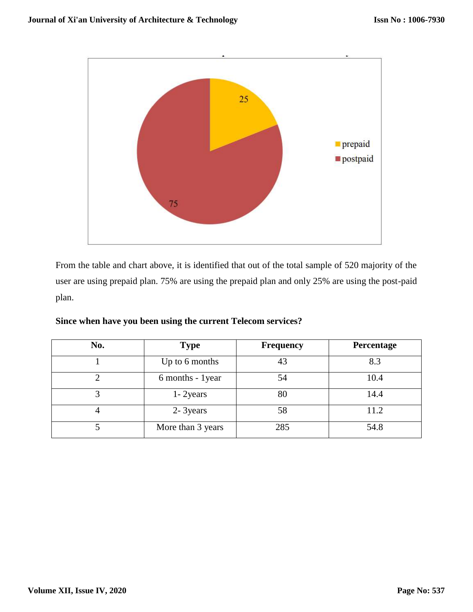

From the table and chart above, it is identified that out of the total sample of 520 majority of the user are using prepaid plan. 75% are using the prepaid plan and only 25% are using the post-paid plan.

| No. | <b>Type</b>          | <b>Frequency</b> | Percentage |
|-----|----------------------|------------------|------------|
|     | Up to 6 months<br>43 |                  | 8.3        |
|     | 6 months - 1year     | 54               | 10.4       |
|     | $1 - 2$ years        | 80               | 14.4       |
|     | 2- 3years            | 58               | 11.2       |
|     | More than 3 years    | 285              | 54.8       |

|  |  | Since when have you been using the current Telecom services? |  |
|--|--|--------------------------------------------------------------|--|
|  |  |                                                              |  |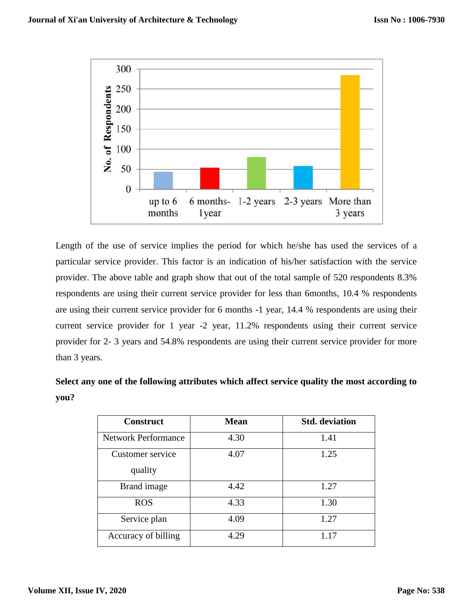

Length of the use of service implies the period for which he/she has used the services of a particular service provider. This factor is an indication of his/her satisfaction with the service provider. The above table and graph show that out of the total sample of 520 respondents 8.3% respondents are using their current service provider for less than 6months, 10.4 % respondents are using their current service provider for 6 months -1 year, 14.4 % respondents are using their current service provider for 1 year -2 year, 11.2% respondents using their current service provider for 2- 3 years and 54.8% respondents are using their current service provider for more than 3 years.

**Select any one of the following attributes which affect service quality the most according to you?**

| <b>Construct</b>           | <b>Mean</b> | <b>Std.</b> deviation |
|----------------------------|-------------|-----------------------|
| <b>Network Performance</b> | 4.30        | 1.41                  |
| Customer service           | 4.07        | 1.25                  |
| quality                    |             |                       |
| Brand image                | 4.42        | 1.27                  |
| <b>ROS</b>                 | 4.33        | 1.30                  |
| Service plan               | 4.09        | 1.27                  |
| Accuracy of billing        | 4.29        | 1.17                  |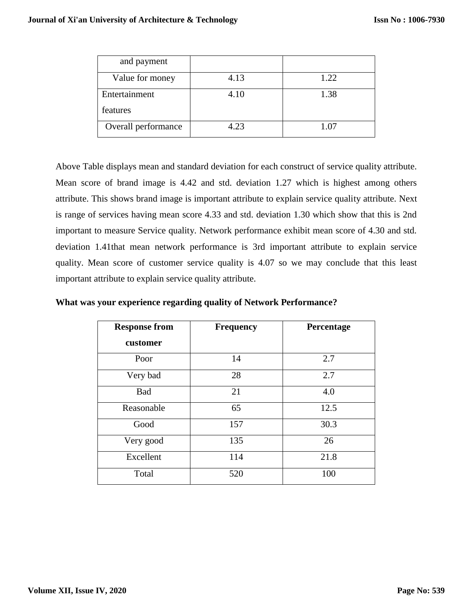| and payment         |      |      |
|---------------------|------|------|
| Value for money     | 4.13 | 1.22 |
| Entertainment       | 4.10 | 1.38 |
| features            |      |      |
| Overall performance | 4.23 | 1.07 |

Above Table displays mean and standard deviation for each construct of service quality attribute. Mean score of brand image is 4.42 and std. deviation 1.27 which is highest among others attribute. This shows brand image is important attribute to explain service quality attribute. Next is range of services having mean score 4.33 and std. deviation 1.30 which show that this is 2nd important to measure Service quality. Network performance exhibit mean score of 4.30 and std. deviation 1.41that mean network performance is 3rd important attribute to explain service quality. Mean score of customer service quality is 4.07 so we may conclude that this least important attribute to explain service quality attribute.

**What was your experience regarding quality of Network Performance?**

| <b>Response from</b><br>customer | <b>Frequency</b> | Percentage |
|----------------------------------|------------------|------------|
| Poor                             | 14               | 2.7        |
| Very bad                         | 28               | 2.7        |
| Bad                              | 21               | 4.0        |
| Reasonable                       | 65               | 12.5       |
| Good                             | 157              | 30.3       |
| Very good                        | 135              | 26         |
| Excellent                        | 114              | 21.8       |
| Total                            | 520              | 100        |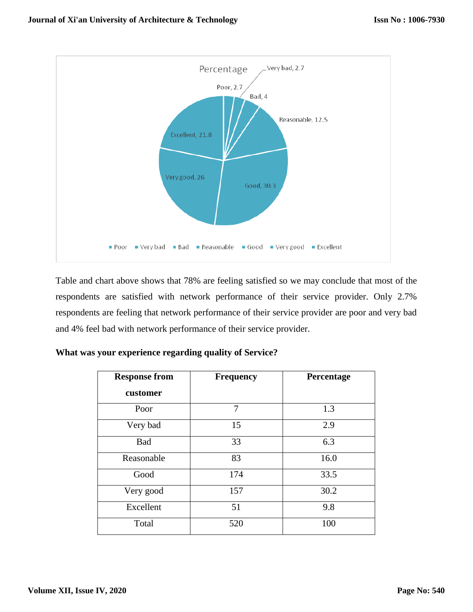

Table and chart above shows that 78% are feeling satisfied so we may conclude that most of the respondents are satisfied with network performance of their service provider. Only 2.7% respondents are feeling that network performance of their service provider are poor and very bad and 4% feel bad with network performance of their service provider.

| <b>Response from</b> | <b>Frequency</b> | Percentage |
|----------------------|------------------|------------|
| customer             |                  |            |
| Poor                 | 7                | 1.3        |
| Very bad             | 15               | 2.9        |
| <b>Bad</b>           | 33               | 6.3        |
| Reasonable           | 83               | 16.0       |
| Good                 | 174              | 33.5       |
| Very good            | 157              | 30.2       |
| Excellent            | 51               | 9.8        |
| Total                | 520              | 100        |

|  |  | What was your experience regarding quality of Service? |
|--|--|--------------------------------------------------------|
|  |  |                                                        |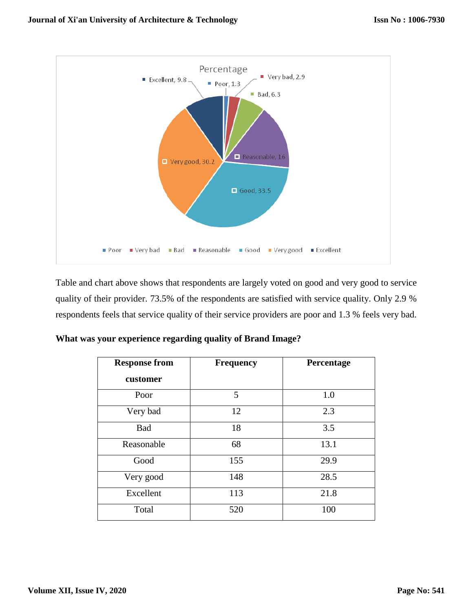

Table and chart above shows that respondents are largely voted on good and very good to service quality of their provider. 73.5% of the respondents are satisfied with service quality. Only 2.9 % respondents feels that service quality of their service providers are poor and 1.3 % feels very bad.

|  | What was your experience regarding quality of Brand Image? |  |  |
|--|------------------------------------------------------------|--|--|
|  |                                                            |  |  |

| <b>Response from</b> | <b>Frequency</b> | Percentage |
|----------------------|------------------|------------|
| customer             |                  |            |
| Poor                 | 5                | 1.0        |
| Very bad             | 12               | 2.3        |
| <b>Bad</b>           | 18               | 3.5        |
| Reasonable           | 68               | 13.1       |
| Good                 | 155              | 29.9       |
| Very good            | 148              | 28.5       |
| Excellent            | 113              | 21.8       |
| Total                | 520              | 100        |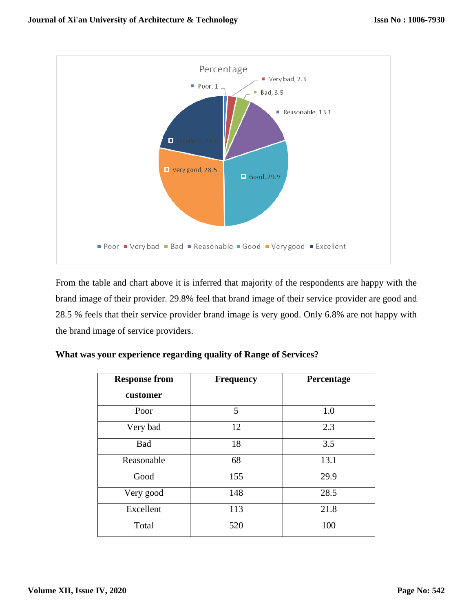

From the table and chart above it is inferred that majority of the respondents are happy with the brand image of their provider. 29.8% feel that brand image of their service provider are good and 28.5 % feels that their service provider brand image is very good. Only 6.8% are not happy with the brand image of service providers.

| <b>Response from</b> | <b>Frequency</b> | Percentage |  |  |
|----------------------|------------------|------------|--|--|
| customer             |                  |            |  |  |
| Poor                 | 5                | 1.0        |  |  |
| Very bad             | 12               | 2.3        |  |  |
| Bad                  | 18               | 3.5        |  |  |
| Reasonable           | 68               | 13.1       |  |  |
| Good                 | 155              | 29.9       |  |  |
| Very good            | 148              | 28.5       |  |  |
| Excellent            | 113              | 21.8       |  |  |
| Total                | 520              | 100        |  |  |

|  | What was your experience regarding quality of Range of Services? |  |  |  |
|--|------------------------------------------------------------------|--|--|--|
|  |                                                                  |  |  |  |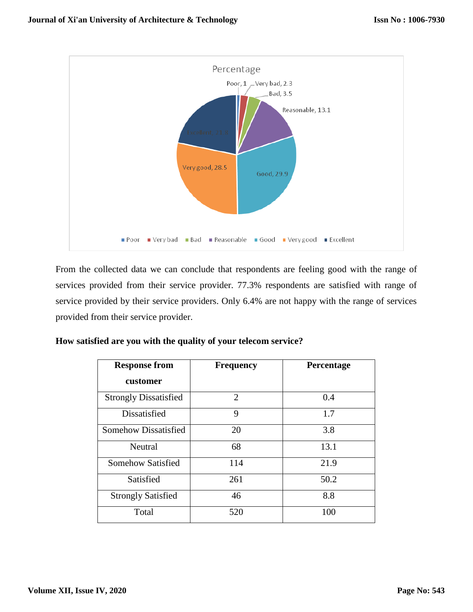

From the collected data we can conclude that respondents are feeling good with the range of services provided from their service provider. 77.3% respondents are satisfied with range of service provided by their service providers. Only 6.4% are not happy with the range of services provided from their service provider.

| <b>Response from</b>         | <b>Frequency</b> | Percentage |  |
|------------------------------|------------------|------------|--|
| customer                     |                  |            |  |
| <b>Strongly Dissatisfied</b> | $\overline{2}$   | 0.4        |  |
| Dissatisfied                 | 9                | 1.7        |  |
| Somehow Dissatisfied         | 20               | 3.8        |  |
| Neutral                      | 68               | 13.1       |  |
| Somehow Satisfied            | 114              | 21.9       |  |
| Satisfied                    | 261              | 50.2       |  |
| <b>Strongly Satisfied</b>    | 46               | 8.8        |  |
| Total                        | 520              | 100        |  |

**How satisfied are you with the quality of your telecom service?**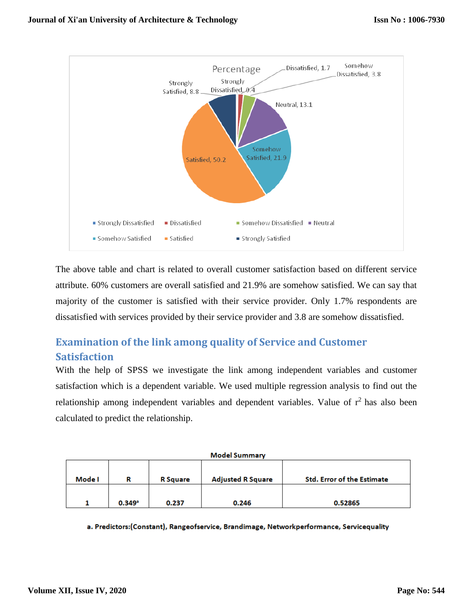

The above table and chart is related to overall customer satisfaction based on different service attribute. 60% customers are overall satisfied and 21.9% are somehow satisfied. We can say that majority of the customer is satisfied with their service provider. Only 1.7% respondents are dissatisfied with services provided by their service provider and 3.8 are somehow dissatisfied.

# **Examination of the link among quality of Service and Customer Satisfaction**

With the help of SPSS we investigate the link among independent variables and customer satisfaction which is a dependent variable. We used multiple regression analysis to find out the relationship among independent variables and dependent variables. Value of  $r<sup>2</sup>$  has also been calculated to predict the relationship.

| <b>Model Summary</b>           |        |                          |                                   |         |  |
|--------------------------------|--------|--------------------------|-----------------------------------|---------|--|
| Mode I<br><b>R</b> Square<br>R |        | <b>Adjusted R Square</b> | <b>Std. Error of the Estimate</b> |         |  |
|                                |        |                          |                                   |         |  |
|                                | 0.349a | 0.237                    | 0.246                             | 0.52865 |  |

a. Predictors:(Constant), Rangeofservice, Brandimage, Networkperformance, Servicequality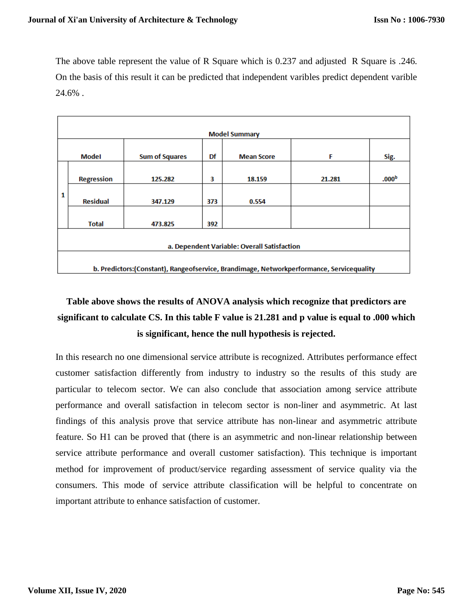The above table represent the value of R Square which is 0.237 and adjusted R Square is .246. On the basis of this result it can be predicted that independent varibles predict dependent varible 24.6% .

|                                             | <b>Model Summary</b>                                                                      |                       |     |                   |        |                   |  |
|---------------------------------------------|-------------------------------------------------------------------------------------------|-----------------------|-----|-------------------|--------|-------------------|--|
|                                             | Model                                                                                     | <b>Sum of Squares</b> | Df  | <b>Mean Score</b> | F      | Sig.              |  |
|                                             | <b>Regression</b>                                                                         | 125.282               | з   | 18.159            | 21.281 | .000 <sup>b</sup> |  |
| 1                                           | <b>Residual</b>                                                                           | 347.129               | 373 | 0.554             |        |                   |  |
|                                             | <b>Total</b>                                                                              | 473.825               | 392 |                   |        |                   |  |
| a. Dependent Variable: Overall Satisfaction |                                                                                           |                       |     |                   |        |                   |  |
|                                             | b. Predictors: (Constant), Rangeofservice, Brandimage, Networkperformance, Servicequality |                       |     |                   |        |                   |  |

# **Table above shows the results of ANOVA analysis which recognize that predictors are significant to calculate CS. In this table F value is 21.281 and p value is equal to .000 which is significant, hence the null hypothesis is rejected.**

In this research no one dimensional service attribute is recognized. Attributes performance effect customer satisfaction differently from industry to industry so the results of this study are particular to telecom sector. We can also conclude that association among service attribute performance and overall satisfaction in telecom sector is non-liner and asymmetric. At last findings of this analysis prove that service attribute has non-linear and asymmetric attribute feature. So H1 can be proved that (there is an asymmetric and non-linear relationship between service attribute performance and overall customer satisfaction). This technique is important method for improvement of product/service regarding assessment of service quality via the consumers. This mode of service attribute classification will be helpful to concentrate on important attribute to enhance satisfaction of customer.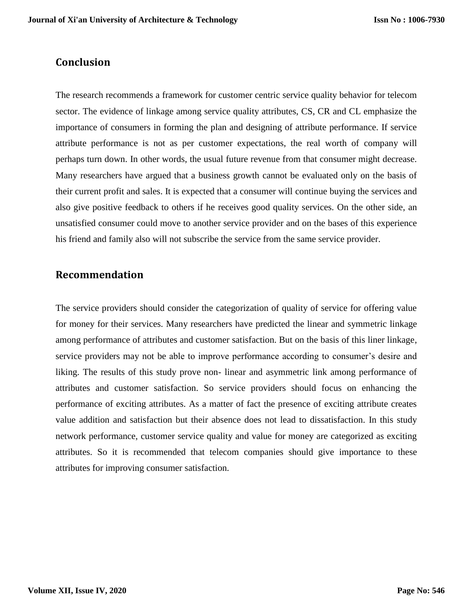## **Conclusion**

The research recommends a framework for customer centric service quality behavior for telecom sector. The evidence of linkage among service quality attributes, CS, CR and CL emphasize the importance of consumers in forming the plan and designing of attribute performance. If service attribute performance is not as per customer expectations, the real worth of company will perhaps turn down. In other words, the usual future revenue from that consumer might decrease. Many researchers have argued that a business growth cannot be evaluated only on the basis of their current profit and sales. It is expected that a consumer will continue buying the services and also give positive feedback to others if he receives good quality services. On the other side, an unsatisfied consumer could move to another service provider and on the bases of this experience his friend and family also will not subscribe the service from the same service provider.

## **Recommendation**

The service providers should consider the categorization of quality of service for offering value for money for their services. Many researchers have predicted the linear and symmetric linkage among performance of attributes and customer satisfaction. But on the basis of this liner linkage, service providers may not be able to improve performance according to consumer's desire and liking. The results of this study prove non- linear and asymmetric link among performance of attributes and customer satisfaction. So service providers should focus on enhancing the performance of exciting attributes. As a matter of fact the presence of exciting attribute creates value addition and satisfaction but their absence does not lead to dissatisfaction. In this study network performance, customer service quality and value for money are categorized as exciting attributes. So it is recommended that telecom companies should give importance to these attributes for improving consumer satisfaction.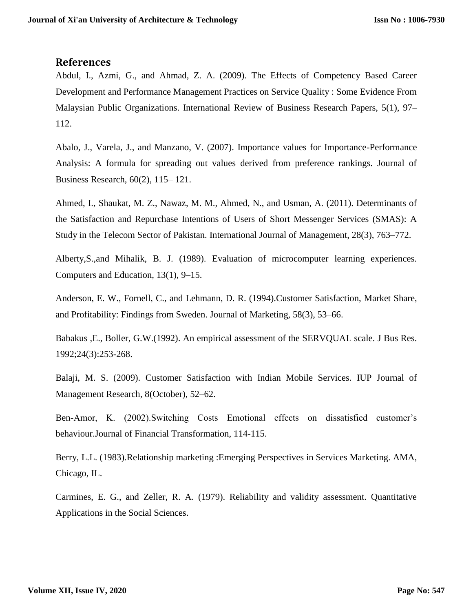#### **References**

Abdul, I., Azmi, G., and Ahmad, Z. A. (2009). The Effects of Competency Based Career Development and Performance Management Practices on Service Quality : Some Evidence From Malaysian Public Organizations. International Review of Business Research Papers, 5(1), 97– 112.

Abalo, J., Varela, J., and Manzano, V. (2007). Importance values for Importance-Performance Analysis: A formula for spreading out values derived from preference rankings. Journal of Business Research, 60(2), 115– 121.

Ahmed, I., Shaukat, M. Z., Nawaz, M. M., Ahmed, N., and Usman, A. (2011). Determinants of the Satisfaction and Repurchase Intentions of Users of Short Messenger Services (SMAS): A Study in the Telecom Sector of Pakistan. International Journal of Management, 28(3), 763–772.

Alberty,S.,and Mihalik, B. J. (1989). Evaluation of microcomputer learning experiences. Computers and Education, 13(1), 9–15.

Anderson, E. W., Fornell, C., and Lehmann, D. R. (1994).Customer Satisfaction, Market Share, and Profitability: Findings from Sweden. Journal of Marketing, 58(3), 53–66.

Babakus ,E., Boller, G.W.(1992). An empirical assessment of the SERVQUAL scale. J Bus Res. 1992;24(3):253-268.

Balaji, M. S. (2009). Customer Satisfaction with Indian Mobile Services. IUP Journal of Management Research, 8(October), 52–62.

Ben-Amor, K. (2002).Switching Costs Emotional effects on dissatisfied customer's behaviour.Journal of Financial Transformation, 114-115.

Berry, L.L. (1983).Relationship marketing :Emerging Perspectives in Services Marketing. AMA, Chicago, IL.

Carmines, E. G., and Zeller, R. A. (1979). Reliability and validity assessment. Quantitative Applications in the Social Sciences.